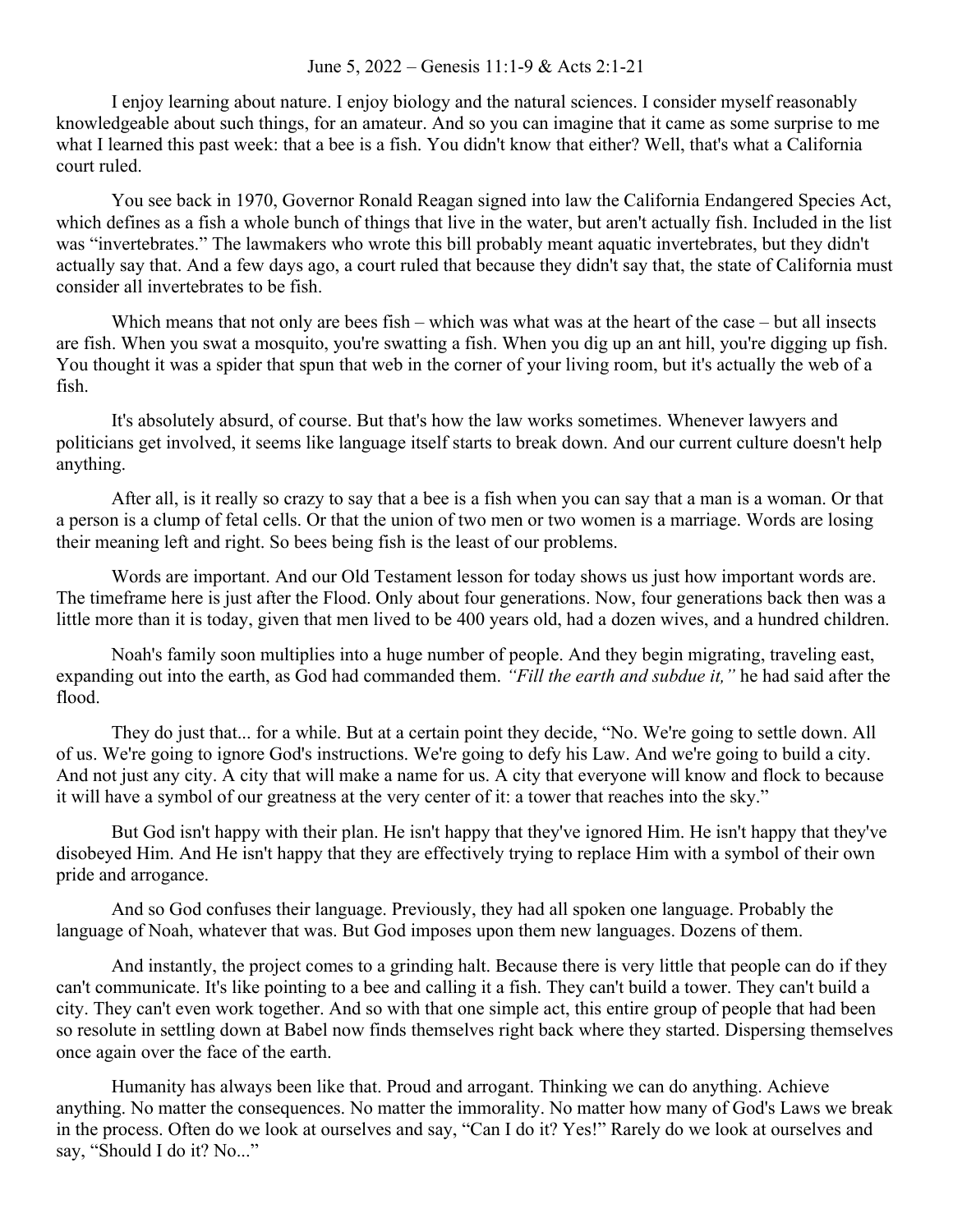## June 5, 2022 – Genesis 11:1-9 & Acts 2:1-21

I enjoy learning about nature. I enjoy biology and the natural sciences. I consider myself reasonably knowledgeable about such things, for an amateur. And so you can imagine that it came as some surprise to me what I learned this past week: that a bee is a fish. You didn't know that either? Well, that's what a California court ruled.

You see back in 1970, Governor Ronald Reagan signed into law the California Endangered Species Act, which defines as a fish a whole bunch of things that live in the water, but aren't actually fish. Included in the list was "invertebrates." The lawmakers who wrote this bill probably meant aquatic invertebrates, but they didn't actually say that. And a few days ago, a court ruled that because they didn't say that, the state of California must consider all invertebrates to be fish.

Which means that not only are bees fish – which was what was at the heart of the case – but all insects are fish. When you swat a mosquito, you're swatting a fish. When you dig up an ant hill, you're digging up fish. You thought it was a spider that spun that web in the corner of your living room, but it's actually the web of a fish.

It's absolutely absurd, of course. But that's how the law works sometimes. Whenever lawyers and politicians get involved, it seems like language itself starts to break down. And our current culture doesn't help anything.

After all, is it really so crazy to say that a bee is a fish when you can say that a man is a woman. Or that a person is a clump of fetal cells. Or that the union of two men or two women is a marriage. Words are losing their meaning left and right. So bees being fish is the least of our problems.

Words are important. And our Old Testament lesson for today shows us just how important words are. The timeframe here is just after the Flood. Only about four generations. Now, four generations back then was a little more than it is today, given that men lived to be 400 years old, had a dozen wives, and a hundred children.

Noah's family soon multiplies into a huge number of people. And they begin migrating, traveling east, expanding out into the earth, as God had commanded them. *"Fill the earth and subdue it,"* he had said after the flood.

They do just that... for a while. But at a certain point they decide, "No. We're going to settle down. All of us. We're going to ignore God's instructions. We're going to defy his Law. And we're going to build a city. And not just any city. A city that will make a name for us. A city that everyone will know and flock to because it will have a symbol of our greatness at the very center of it: a tower that reaches into the sky."

But God isn't happy with their plan. He isn't happy that they've ignored Him. He isn't happy that they've disobeyed Him. And He isn't happy that they are effectively trying to replace Him with a symbol of their own pride and arrogance.

And so God confuses their language. Previously, they had all spoken one language. Probably the language of Noah, whatever that was. But God imposes upon them new languages. Dozens of them.

And instantly, the project comes to a grinding halt. Because there is very little that people can do if they can't communicate. It's like pointing to a bee and calling it a fish. They can't build a tower. They can't build a city. They can't even work together. And so with that one simple act, this entire group of people that had been so resolute in settling down at Babel now finds themselves right back where they started. Dispersing themselves once again over the face of the earth.

Humanity has always been like that. Proud and arrogant. Thinking we can do anything. Achieve anything. No matter the consequences. No matter the immorality. No matter how many of God's Laws we break in the process. Often do we look at ourselves and say, "Can I do it? Yes!" Rarely do we look at ourselves and say, "Should I do it? No..."